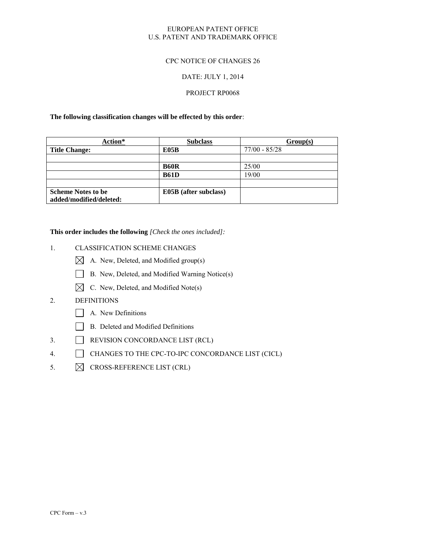### EUROPEAN PATENT OFFICE U.S. PATENT AND TRADEMARK OFFICE

### CPC NOTICE OF CHANGES 26

#### DATE: JULY 1, 2014

### PROJECT RP0068

#### **The following classification changes will be effected by this order**:

| Action*                   | <b>Subclass</b>       | Group(s)        |
|---------------------------|-----------------------|-----------------|
| <b>Title Change:</b>      | E05B                  | $77/00 - 85/28$ |
|                           |                       |                 |
|                           | <b>B60R</b>           | 25/00           |
|                           | <b>B61D</b>           | 19/00           |
|                           |                       |                 |
| <b>Scheme Notes to be</b> | E05B (after subclass) |                 |
| added/modified/deleted:   |                       |                 |

#### **This order includes the following** *[Check the ones included]:*

## 1. CLASSIFICATION SCHEME CHANGES

- $\boxtimes$  A. New, Deleted, and Modified group(s)
- B. New, Deleted, and Modified Warning Notice(s)
- $\boxtimes$  C. New, Deleted, and Modified Note(s)

# 2. DEFINITIONS

- A. New Definitions
- B. Deleted and Modified Definitions
- 3. REVISION CONCORDANCE LIST (RCL)
- 4. CHANGES TO THE CPC-TO-IPC CONCORDANCE LIST (CICL)
- 5.  $\boxtimes$  CROSS-REFERENCE LIST (CRL)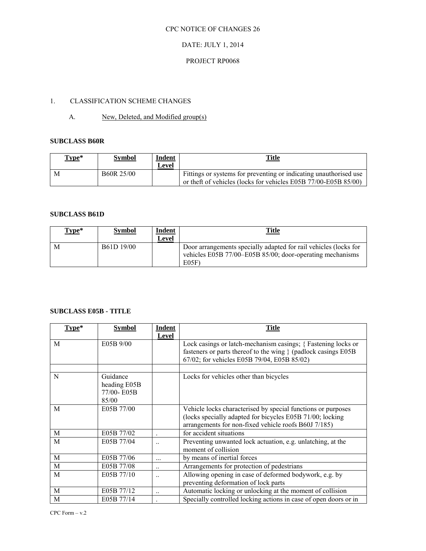## DATE: JULY 1, 2014

# PROJECT RP0068

# 1. CLASSIFICATION SCHEME CHANGES

# A. New, Deleted, and Modified group(s)

### **SUBCLASS B60R**

| Type* | <b>Symbol</b>           | <b>Indent</b><br>∟evel | <u>Title</u>                                                                                                                         |
|-------|-------------------------|------------------------|--------------------------------------------------------------------------------------------------------------------------------------|
| M     | B <sub>60</sub> R 25/00 |                        | Fittings or systems for preventing or indicating unauthorised use<br>or theft of vehicles (locks for vehicles E05B 77/00-E05B 85/00) |

### **SUBCLASS B61D**

| $Type*$ | <b>Symbol</b> | <b>Indent</b><br>Level | <b>Title</b>                                                                                                                            |
|---------|---------------|------------------------|-----------------------------------------------------------------------------------------------------------------------------------------|
| M       | B61D 19/00    |                        | Door arrangements specially adapted for rail vehicles (locks for<br>vehicles E05B 77/00–E05B 85/00; door-operating mechanisms<br>E(05F) |

# **SUBCLASS E05B - TITLE**

| Type* | <b>Symbol</b> | Indent   | <b>Title</b>                                                     |
|-------|---------------|----------|------------------------------------------------------------------|
|       |               | Level    |                                                                  |
| M     | E05B 9/00     |          | Lock casings or latch-mechanism casings; {Fastening locks or     |
|       |               |          | fasteners or parts thereof to the wing { (padlock casings E05B)  |
|       |               |          | 67/02; for vehicles E05B 79/04, E05B 85/02)                      |
|       |               |          |                                                                  |
| N     | Guidance      |          | Locks for vehicles other than bicycles                           |
|       | heading E05B  |          |                                                                  |
|       | 77/00-E05B    |          |                                                                  |
|       | 85/00         |          |                                                                  |
| M     | E05B 77/00    |          | Vehicle locks characterised by special functions or purposes     |
|       |               |          | (locks specially adapted for bicycles E05B 71/00; locking        |
|       |               |          | arrangements for non-fixed vehicle roofs B60J 7/185)             |
| M     | E05B 77/02    |          | for accident situations                                          |
| M     | E05B 77/04    |          | Preventing unwanted lock actuation, e.g. unlatching, at the      |
|       |               |          | moment of collision                                              |
| M     | E05B 77/06    | $\cdots$ | by means of inertial forces                                      |
| M     | E05B 77/08    |          | Arrangements for protection of pedestrians                       |
| M     | E05B 77/10    |          | Allowing opening in case of deformed bodywork, e.g. by           |
|       |               |          | preventing deformation of lock parts                             |
| M     | E05B 77/12    |          | Automatic locking or unlocking at the moment of collision        |
| M     | E05B 77/14    |          | Specially controlled locking actions in case of open doors or in |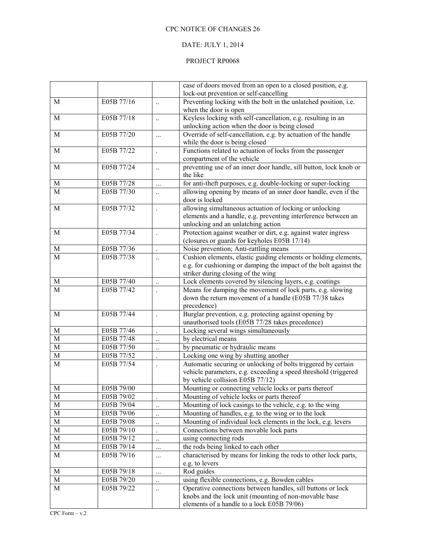## DATE: JULY 1, 2014

## PROJECT RP0068

|                  |                          |                      | case of doors moved from an open to a closed position, e.g.                                                    |  |
|------------------|--------------------------|----------------------|----------------------------------------------------------------------------------------------------------------|--|
|                  |                          |                      | lock-out prevention or self-cancelling                                                                         |  |
| M                | E05B 77/16               | $\ddotsc$            | Preventing locking with the bolt in the unlatched position, i.e.<br>when the door is open                      |  |
| $\overline{M}$   | E05B 77/18               | $\ddotsc$            | Keyless locking with self-cancellation, e.g. resulting in an<br>unlocking action when the door is being closed |  |
| M                | E05B 77/20               | $\cdots$             | Override of self-cancellation, e.g. by actuation of the handle                                                 |  |
|                  |                          |                      | while the door is being closed                                                                                 |  |
| $\mathbf M$      | E05B 77/22               |                      | Functions related to actuation of locks from the passenger<br>compartment of the vehicle                       |  |
| $\mathbf M$      | E05B 77/24               | $\ddotsc$            | preventing use of an inner door handle, sill button, lock knob or<br>the like                                  |  |
| M                | E05B 77/28               |                      | for anti-theft purposes, e.g. double-locking or super-locking                                                  |  |
| M                | E05B 77/30               |                      | allowing opening by means of an inner door handle, even if the                                                 |  |
|                  |                          |                      | door is locked                                                                                                 |  |
| $\mathbf M$      | E05B 77/32               |                      | allowing simultaneous actuation of locking or unlocking                                                        |  |
|                  |                          |                      | elements and a handle, e.g. preventing interference between an                                                 |  |
| M                | E05B 77/34               |                      | unlocking and an unlatching action<br>Protection against weather or dirt, e.g. against water ingress           |  |
|                  |                          |                      |                                                                                                                |  |
|                  |                          |                      | (closures or guards for keyholes E05B 17/14)                                                                   |  |
| M                | E05B 77/36<br>E05B 77/38 |                      | Noise prevention; Anti-rattling means                                                                          |  |
| M                |                          | $\ddotsc$            | Cushion elements, elastic guiding elements or holding elements,                                                |  |
|                  |                          |                      | e.g. for cushioning or damping the impact of the bolt against the                                              |  |
|                  | E05B 77/40               |                      | striker during closing of the wing                                                                             |  |
| $\mathbf M$<br>M | E05B 77/42               | $\ddotsc$            | Lock elements covered by silencing layers, e.g. coatings                                                       |  |
|                  |                          |                      | Means for damping the movement of lock parts, e.g. slowing                                                     |  |
|                  |                          |                      | down the return movement of a handle (E05B 77/38 takes<br>precedence)                                          |  |
| M                | E05B 77/44               |                      | Burglar prevention, e.g. protecting against opening by                                                         |  |
|                  |                          | $\ddot{\phantom{0}}$ | unauthorised tools (E05B 77/28 takes precedence)                                                               |  |
| $\mathbf M$      | E05B 77/46               |                      | Locking several wings simultaneously                                                                           |  |
| $\mathbf{M}$     | E05B 77/48               |                      | by electrical means                                                                                            |  |
| $\mathbf M$      | E05B 77/50               | $\ddot{\phantom{0}}$ | by pneumatic or hydraulic means                                                                                |  |
| $\mathbf M$      | E05B 77/52               | $\ddotsc$            | Locking one wing by shutting another                                                                           |  |
| M                | E05B 77/54               |                      | Automatic securing or unlocking of bolts triggered by certain                                                  |  |
|                  |                          |                      | vehicle parameters, e.g. exceeding a speed threshold (triggered                                                |  |
|                  |                          |                      | by vehicle collision E05B 77/12)                                                                               |  |
| $\mathbf M$      | E05B 79/00               |                      | Mounting or connecting vehicle locks or parts thereof                                                          |  |
| M                | E05B 79/02               |                      | Mounting of vehicle locks or parts thereof                                                                     |  |
| $\overline{M}$   | E05B 79/04               | $\ddotsc$            | Mounting of lock casings to the vehicle, e.g. to the wing                                                      |  |
| $\mathbf M$      | E05B 79/06               | $\ddotsc$            | Mounting of handles, e.g. to the wing or to the lock                                                           |  |
| $\mathbf M$      | E05B 79/08               | $\ddotsc$            | Mounting of individual lock elements in the lock, e.g. levers                                                  |  |
| $\mathbf M$      | E05B 79/10               |                      | Connections between movable lock parts                                                                         |  |
| $\mathbf M$      | E05B 79/12               | $\ddotsc$            | using connecting rods                                                                                          |  |
| $\mathbf M$      | E05B 79/14               | $\cdots$             | the rods being linked to each other                                                                            |  |
| $\mathbf M$      | E05B 79/16               | $\cdots$             | characterised by means for linking the rods to other lock parts,                                               |  |
|                  |                          |                      | e.g. to levers                                                                                                 |  |
| M                | E05B 79/18               | $\cdots$             | Rod guides                                                                                                     |  |
| $\mathbf M$      | E05B 79/20               | $\ddot{\phantom{0}}$ | using flexible connections, e.g. Bowden cables                                                                 |  |
| M                | E05B 79/22               | $\ddots$             | Operative connections between handles, sill buttons or lock                                                    |  |
|                  |                          |                      | knobs and the lock unit (mounting of non-movable base                                                          |  |
|                  |                          |                      | elements of a handle to a lock E05B 79/06)                                                                     |  |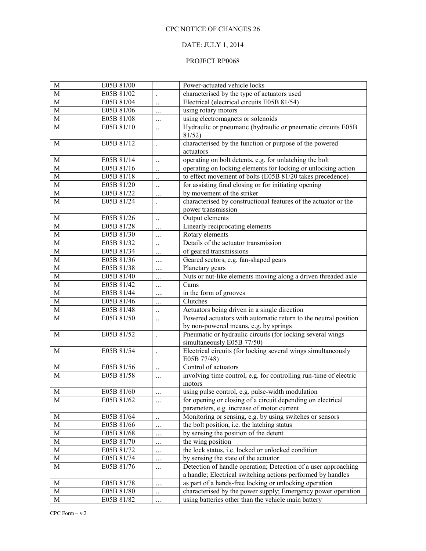# DATE: JULY 1, 2014

## PROJECT RP0068

| M                     | E05B 81/00 |           | Power-actuated vehicle locks                                                             |  |
|-----------------------|------------|-----------|------------------------------------------------------------------------------------------|--|
| M                     | E05B 81/02 |           | characterised by the type of actuators used                                              |  |
| M                     | E05B 81/04 | $\ddotsc$ | Electrical (electrical circuits E05B 81/54)                                              |  |
| $\mathbf M$           | E05B 81/06 | $\cdots$  | using rotary motors                                                                      |  |
| M                     | E05B 81/08 |           | using electromagnets or solenoids                                                        |  |
| M                     | E05B 81/10 | $\ddotsc$ | Hydraulic or pneumatic (hydraulic or pneumatic circuits E05B<br>81/52)                   |  |
| M                     | E05B 81/12 |           | characterised by the function or purpose of the powered<br>actuators                     |  |
| M                     | E05B 81/14 | $\ddotsc$ | operating on bolt detents, e.g. for unlatching the bolt                                  |  |
| $\mathbf M$           | E05B 81/16 | $\ddotsc$ | operating on locking elements for locking or unlocking action                            |  |
| M                     | E05B 81/18 | $\ldots$  | to effect movement of bolts (E05B 81/20 takes precedence)                                |  |
| M                     | E05B 81/20 | $\ddotsc$ | for assisting final closing or for initiating opening                                    |  |
| M                     | E05B 81/22 |           | by movement of the striker                                                               |  |
| M                     | E05B 81/24 |           | characterised by constructional features of the actuator or the                          |  |
|                       |            |           | power transmission                                                                       |  |
| $\mathbf M$           | E05B 81/26 | $\ldots$  | Output elements                                                                          |  |
| $\mathbf M$           | E05B 81/28 | $\cdots$  | Linearly reciprocating elements                                                          |  |
| $\mathbf M$           | E05B 81/30 | $\cdots$  | Rotary elements                                                                          |  |
| $\mathbf M$           | E05B 81/32 | $\ldots$  | Details of the actuator transmission                                                     |  |
| $\mathbf M$           | E05B 81/34 | $\cdots$  | of geared transmissions                                                                  |  |
| $\mathbf M$           | E05B 81/36 |           | Geared sectors, e.g. fan-shaped gears                                                    |  |
| $\mathbf M$           | E05B 81/38 |           | Planetary gears                                                                          |  |
| $\mathbf M$           | E05B 81/40 | $\ldots$  | Nuts or nut-like elements moving along a driven threaded axle                            |  |
| $\mathbf M$           | E05B 81/42 | $\cdots$  | Cams                                                                                     |  |
| $\mathbf M$           | E05B 81/44 |           | in the form of grooves                                                                   |  |
| $\mathbf M$           | E05B 81/46 | $\cdots$  | Clutches                                                                                 |  |
| $\mathbf M$           | E05B 81/48 | $\ddotsc$ | Actuators being driven in a single direction                                             |  |
| M                     | E05B 81/50 | $\ddotsc$ | Powered actuators with automatic return to the neutral position                          |  |
|                       |            |           | by non-powered means, e.g. by springs                                                    |  |
| M                     | E05B 81/52 |           | Pneumatic or hydraulic circuits (for locking several wings<br>simultaneously E05B 77/50) |  |
| M                     | E05B 81/54 |           | Electrical circuits (for locking several wings simultaneously<br>E05B 77/48)             |  |
| M                     | E05B 81/56 | $\ddotsc$ | Control of actuators                                                                     |  |
| M                     | E05B 81/58 | $\cdots$  | involving time control, e.g. for controlling run-time of electric<br>motors              |  |
| $\overline{\text{M}}$ | E05B 81/60 | $\cdots$  | using pulse control, e.g. pulse-width modulation                                         |  |
| M                     | E05B 81/62 | $\cdots$  | for opening or closing of a circuit depending on electrical                              |  |
|                       |            |           | parameters, e.g. increase of motor current                                               |  |
| $\mathbf M$           | E05B 81/64 | $\ddotsc$ | Monitoring or sensing, e.g. by using switches or sensors                                 |  |
| M                     | E05B 81/66 | $\cdots$  | the bolt position, i.e. the latching status                                              |  |
| $\mathbf M$           | E05B 81/68 |           | by sensing the position of the detent                                                    |  |
| $\mathbf M$           | E05B 81/70 | $\cdots$  | the wing position                                                                        |  |
| M                     | E05B 81/72 | $\cdots$  | the lock status, i.e. locked or unlocked condition                                       |  |
| $\mathbf M$           | E05B 81/74 |           | by sensing the state of the actuator                                                     |  |
| M                     | E05B 81/76 | $\ldots$  | Detection of handle operation; Detection of a user approaching                           |  |
|                       |            |           | a handle; Electrical switching actions performed by handles                              |  |
| $\mathbf M$           | E05B 81/78 |           | as part of a hands-free locking or unlocking operation                                   |  |
| M                     | E05B 81/80 | $\ddotsc$ | characterised by the power supply; Emergency power operation                             |  |
| $\mathbf M$           | E05B 81/82 |           | using batteries other than the vehicle main battery                                      |  |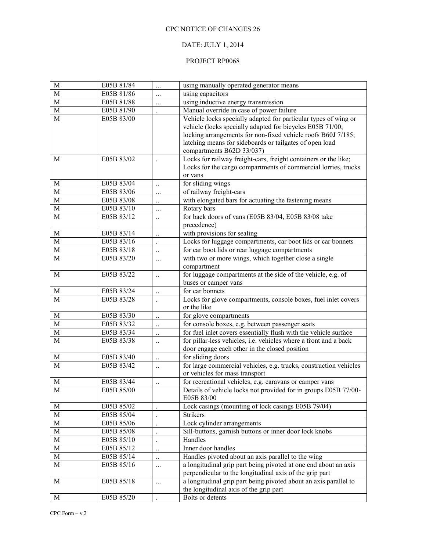# DATE: JULY 1, 2014

## PROJECT RP0068

| $\mathbf M$ | E05B 81/84 |                      | using manually operated generator means                                                                                                                                                                                                                                              |
|-------------|------------|----------------------|--------------------------------------------------------------------------------------------------------------------------------------------------------------------------------------------------------------------------------------------------------------------------------------|
| M           | E05B 81/86 |                      | using capacitors                                                                                                                                                                                                                                                                     |
| $\mathbf M$ | E05B 81/88 |                      | using inductive energy transmission                                                                                                                                                                                                                                                  |
| $\mathbf M$ | E05B 81/90 |                      | Manual override in case of power failure                                                                                                                                                                                                                                             |
| M           | E05B 83/00 |                      | Vehicle locks specially adapted for particular types of wing or<br>vehicle (locks specially adapted for bicycles E05B 71/00;<br>locking arrangements for non-fixed vehicle roofs B60J 7/185;<br>latching means for sideboards or tailgates of open load<br>compartments B62D 33/037) |
| M           | E05B 83/02 |                      | Locks for railway freight-cars, freight containers or the like;<br>Locks for the cargo compartments of commercial lorries, trucks<br>or vans                                                                                                                                         |
| M           | E05B 83/04 | $\ddotsc$            | for sliding wings                                                                                                                                                                                                                                                                    |
| $\mathbf M$ | E05B 83/06 |                      | of railway freight-cars                                                                                                                                                                                                                                                              |
| $\mathbf M$ | E05B 83/08 | $\ldots$             | with elongated bars for actuating the fastening means                                                                                                                                                                                                                                |
| $\mathbf M$ | E05B 83/10 | $\ddotsc$            | Rotary bars                                                                                                                                                                                                                                                                          |
| M           | E05B 83/12 | $\ddotsc$            | for back doors of vans (E05B 83/04, E05B 83/08 take<br>precedence)                                                                                                                                                                                                                   |
| M           | E05B 83/14 | $\ddotsc$            | with provisions for sealing                                                                                                                                                                                                                                                          |
| M           | E05B 83/16 |                      | Locks for luggage compartments, car boot lids or car bonnets                                                                                                                                                                                                                         |
| M           | E05B 83/18 | $\ddot{\phantom{0}}$ | for car boot lids or rear luggage compartments                                                                                                                                                                                                                                       |
| M           | E05B 83/20 |                      | with two or more wings, which together close a single                                                                                                                                                                                                                                |
|             |            |                      | compartment                                                                                                                                                                                                                                                                          |
| M           | E05B 83/22 | $\ddotsc$            | for luggage compartments at the side of the vehicle, e.g. of<br>buses or camper vans                                                                                                                                                                                                 |
| $\mathbf M$ | E05B 83/24 | $\ddotsc$            | for car bonnets                                                                                                                                                                                                                                                                      |
| M           | E05B 83/28 |                      | Locks for glove compartments, console boxes, fuel inlet covers<br>or the like                                                                                                                                                                                                        |
| M           | E05B 83/30 | $\ddotsc$            | for glove compartments                                                                                                                                                                                                                                                               |
| $\mathbf M$ | E05B 83/32 | $\ddotsc$            | for console boxes, e.g. between passenger seats                                                                                                                                                                                                                                      |
| $\mathbf M$ | E05B 83/34 | $\ddots$             | for fuel inlet covers essentially flush with the vehicle surface                                                                                                                                                                                                                     |
| M           | E05B 83/38 | $\ddotsc$            | for pillar-less vehicles, i.e. vehicles where a front and a back<br>door engage each other in the closed position                                                                                                                                                                    |
| M           | E05B 83/40 | $\ddotsc$            | for sliding doors                                                                                                                                                                                                                                                                    |
| M           | E05B 83/42 | $\ddotsc$            | for large commercial vehicles, e.g. trucks, construction vehicles<br>or vehicles for mass transport                                                                                                                                                                                  |
| M           | E05B 83/44 | $\ddotsc$            | for recreational vehicles, e.g. caravans or camper vans                                                                                                                                                                                                                              |
| M           | E05B 85/00 |                      | Details of vehicle locks not provided for in groups E05B 77/00-<br>E05B 83/00                                                                                                                                                                                                        |
| M           | E05B 85/02 |                      | Lock casings (mounting of lock casings E05B 79/04)                                                                                                                                                                                                                                   |
| M           | E05B 85/04 |                      | <b>Strikers</b>                                                                                                                                                                                                                                                                      |
| M           | E05B 85/06 | $\ddot{\phantom{0}}$ | Lock cylinder arrangements                                                                                                                                                                                                                                                           |
| $\mathbf M$ | E05B 85/08 | $\ddot{\phantom{0}}$ | Sill-buttons, garnish buttons or inner door lock knobs                                                                                                                                                                                                                               |
| M           | E05B 85/10 |                      | Handles                                                                                                                                                                                                                                                                              |
| M           | E05B 85/12 | $\ddotsc$            | Inner door handles                                                                                                                                                                                                                                                                   |
| M           | E05B 85/14 | $\ddotsc$            | Handles pivoted about an axis parallel to the wing                                                                                                                                                                                                                                   |
| M           | E05B 85/16 | $\cdots$             | a longitudinal grip part being pivoted at one end about an axis<br>perpendicular to the longitudinal axis of the grip part                                                                                                                                                           |
| M           | E05B 85/18 | $\cdots$             | a longitudinal grip part being pivoted about an axis parallel to<br>the longitudinal axis of the grip part                                                                                                                                                                           |
| $\mathbf M$ | E05B 85/20 |                      | Bolts or detents                                                                                                                                                                                                                                                                     |
|             |            |                      |                                                                                                                                                                                                                                                                                      |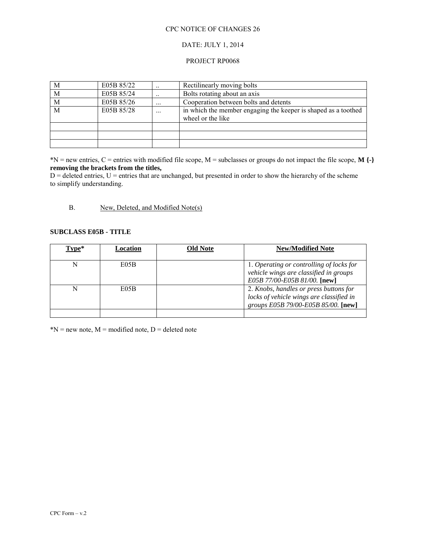#### DATE: JULY 1, 2014

#### PROJECT RP0068

| M              | E05B 85/22 | $\ddotsc$ | Rectilinearly moving bolts                                                          |
|----------------|------------|-----------|-------------------------------------------------------------------------------------|
| M              | E05B 85/24 | $\ddotsc$ | Bolts rotating about an axis                                                        |
| $\overline{M}$ | E05B 85/26 | $\cdots$  | Cooperation between bolts and detents                                               |
| M              | E05B 85/28 | $\ddotsc$ | in which the member engaging the keeper is shaped as a toothed<br>wheel or the like |
|                |            |           |                                                                                     |
|                |            |           |                                                                                     |
|                |            |           |                                                                                     |

\*N = new entries, C = entries with modified file scope, M = subclasses or groups do not impact the file scope, **M {-} removing the brackets from the titles,**

 $D =$  deleted entries,  $U =$  entries that are unchanged, but presented in order to show the hierarchy of the scheme to simplify understanding.

### B. New, Deleted, and Modified Note(s)

#### **SUBCLASS E05B - TITLE**

| Type* | Location | <b>Old Note</b> | <b>New/Modified Note</b>                 |
|-------|----------|-----------------|------------------------------------------|
|       |          |                 |                                          |
|       | E05B     |                 | 1. Operating or controlling of locks for |
|       |          |                 | vehicle wings are classified in groups   |
|       |          |                 | E05B 77/00-E05B 81/00. [new]             |
|       | E05B     |                 | 2. Knobs, handles or press buttons for   |
|       |          |                 | locks of vehicle wings are classified in |
|       |          |                 | groups E05B 79/00-E05B 85/00. [new]      |
|       |          |                 |                                          |

 $N = new note, M = modified note, D = deleted note$